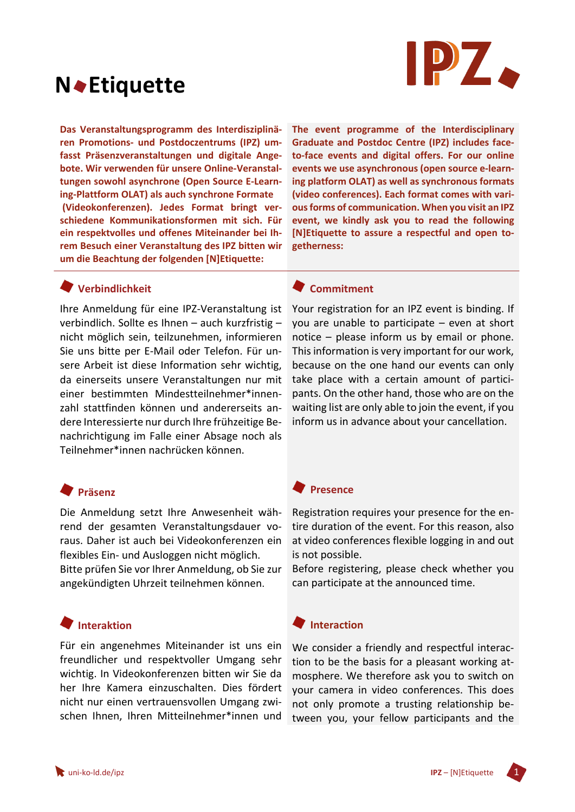

# **N Etiquette**

**Das Veranstaltungsprogramm des Interdisziplinären Promotions- und Postdoczentrums (IPZ) umfasst Präsenzveranstaltungen und digitale Angebote. Wir verwenden für unsere Online-Veranstaltungen sowohl asynchrone (Open Source E-Learning-Plattform OLAT) als auch synchrone Formate (Videokonferenzen). Jedes Format bringt verschiedene Kommunikationsformen mit sich. Für ein respektvolles und offenes Miteinander bei Ihrem Besuch einer Veranstaltung des IPZ bitten wir um die Beachtung der folgenden [N]Etiquette:**

**The event programme of the Interdisciplinary Graduate and Postdoc Centre (IPZ) includes faceto-face events and digital offers. For our online events we use asynchronous (open source e-learning platform OLAT) as well as synchronous formats (video conferences). Each format comes with various forms of communication. When you visit an IPZ event, we kindly ask you to read the following [N]Etiquette to assure a respectful and open togetherness:** 

## **Verbindlichkeit**

Ihre Anmeldung für eine IPZ-Veranstaltung ist verbindlich. Sollte es Ihnen – auch kurzfristig – nicht möglich sein, teilzunehmen, informieren Sie uns bitte per E-Mail oder Telefon. Für unsere Arbeit ist diese Information sehr wichtig, da einerseits unsere Veranstaltungen nur mit einer bestimmten Mindestteilnehmer\*innenzahl stattfinden können und andererseits andere Interessierte nur durch Ihre frühzeitige Benachrichtigung im Falle einer Absage noch als Teilnehmer\*innen nachrücken können.

# **Präsenz**

Die Anmeldung setzt Ihre Anwesenheit während der gesamten Veranstaltungsdauer voraus. Daher ist auch bei Videokonferenzen ein flexibles Ein- und Ausloggen nicht möglich.

Bitte prüfen Sie vor Ihrer Anmeldung, ob Sie zur angekündigten Uhrzeit teilnehmen können.

## **Interaktion**

Für ein angenehmes Miteinander ist uns ein freundlicher und respektvoller Umgang sehr wichtig. In Videokonferenzen bitten wir Sie da her Ihre Kamera einzuschalten. Dies fördert nicht nur einen vertrauensvollen Umgang zwischen Ihnen, Ihren Mitteilnehmer\*innen und

#### **Commitment**

Your registration for an IPZ event is binding. If you are unable to participate – even at short notice – please inform us by email or phone. This information is very important for our work, because on the one hand our events can only take place with a certain amount of participants. On the other hand, those who are on the waiting list are only able to join the event, if you inform us in advance about your cancellation.

#### **Presence**

Registration requires your presence for the entire duration of the event. For this reason, also at video conferences flexible logging in and out is not possible.

Before registering, please check whether you can participate at the announced time.

#### **Interaction**

We consider a friendly and respectful interaction to be the basis for a pleasant working atmosphere. We therefore ask you to switch on your camera in video conferences. This does not only promote a trusting relationship between you, your fellow participants and the

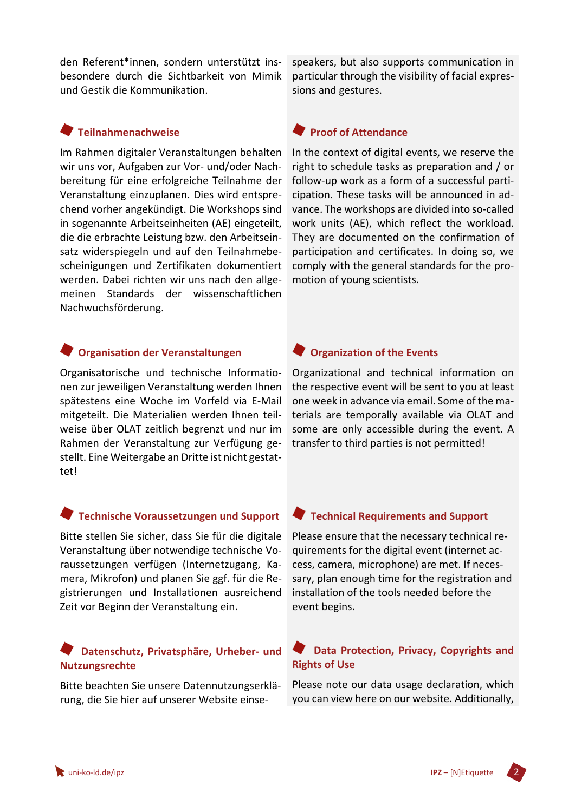den Referent\*innen, sondern unterstützt insbesondere durch die Sichtbarkeit von Mimik und Gestik die Kommunikation.

**Teilnahmenachweise**

Im Rahmen digitaler Veranstaltungen behalten wir uns vor, Aufgaben zur Vor- und/oder Nachbereitung für eine erfolgreiche Teilnahme der Veranstaltung einzuplanen. Dies wird entsprechend vorher angekündigt. Die Workshops sind in sogenannte Arbeitseinheiten (AE) eingeteilt, die die erbrachte Leistung bzw. den Arbeitseinsatz widerspiegeln und auf den Teilnahmebescheinigungen und Zertifikaten dokumentiert werden. Dabei richten wir uns nach den allgemeinen Standards der wissenschaftlichen Nachwuchsförderung.

## **Organisation der Veranstaltungen**

Organisatorische und technische Informationen zur jeweiligen Veranstaltung werden Ihnen spätestens eine Woche im Vorfeld via E-Mail mitgeteilt. Die Materialien werden Ihnen teilweise über OLAT zeitlich begrenzt und nur im Rahmen der Veranstaltung zur Verfügung gestellt. Eine Weitergabe an Dritte ist nicht gestattet!

## **Technische Voraussetzungen und Support**

Bitte stellen Sie sicher, dass Sie für die digitale Veranstaltung über notwendige technische Voraussetzungen verfügen (Internetzugang, Kamera, Mikrofon) und planen Sie ggf. für die Registrierungen und Installationen ausreichend Zeit vor Beginn der Veranstaltung ein.

## **Datenschutz, Privatsphäre, Urheber- und Nutzungsrechte**

Bitte beachten Sie unsere Datennutzungserklärung, die Sie [hier](https://www.uni-koblenz-landau.de/de/datenschutz) auf unserer Website einsespeakers, but also supports communication in particular through the visibility of facial expressions and gestures.

## **Proof of Attendance**

In the context of digital events, we reserve the right to schedule tasks as preparation and / or follow-up work as a form of a successful participation. These tasks will be announced in advance. The workshops are divided into so-called work units (AE), which reflect the workload. They are documented on the confirmation of participation and certificates. In doing so, we comply with the general standards for the promotion of young scientists.

## **Organization of the Events**

Organizational and technical information on the respective event will be sent to you at least one week in advance via email. Some of the materials are temporally available via OLAT and some are only accessible during the event. A transfer to third parties is not permitted!

#### **Technical Requirements and Support**

Please ensure that the necessary technical requirements for the digital event (internet access, camera, microphone) are met. If necessary, plan enough time for the registration and installation of the tools needed before the event begins.

#### **Data Protection, Privacy, Copyrights and Rights of Use**

Please note our data usage declaration, which you can view [here](https://www.uni-koblenz-landau.de/de/datenschutz) on our website. Additionally,